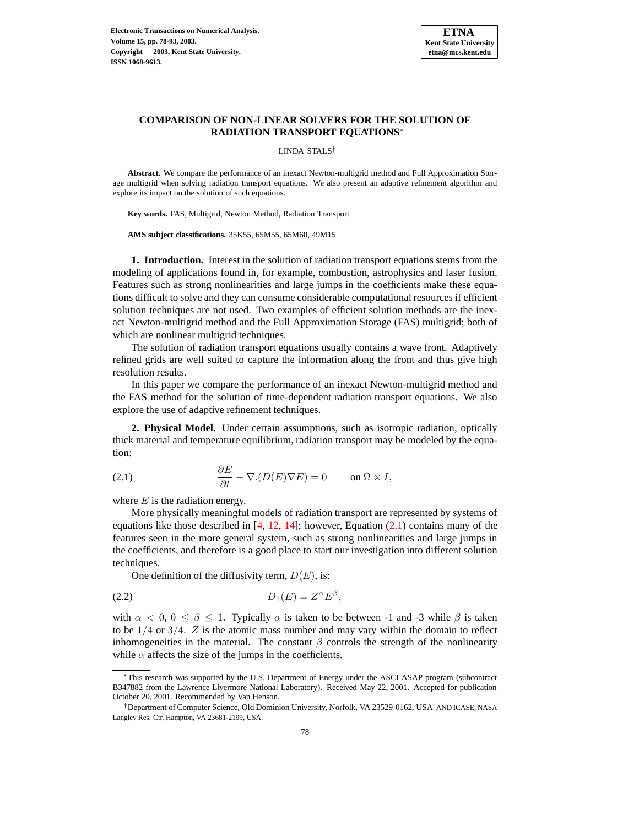

# **COMPARISON OF NON-LINEAR SOLVERS FOR THE SOLUTION OF RADIATION TRANSPORT EQUATIONS**<sup>∗</sup>

LINDA STALS†

**Abstract.** We compare the performance of an inexact Newton-multigrid method and Full Approximation Storage multigrid when solving radiation transport equations. We also present an adaptive refinement algorithm and explore its impact on the solution of such equations.

**Key words.** FAS, Multigrid, Newton Method, Radiation Transport

**AMS subject classifications.** 35K55, 65M55, 65M60, 49M15

**1. Introduction.** Interest in the solution of radiation transport equations stems from the modeling of applications found in, for example, combustion, astrophysics and laser fusion. Features such as strong nonlinearities and large jumps in the coefficients make these equations difficult to solve and they can consume considerable computational resources if efficient solution techniques are not used. Two examples of efficient solution methods are the inexact Newton-multigrid method and the Full Approximation Storage (FAS) multigrid; both of which are nonlinear multigrid techniques.

The solution of radiation transport equations usually contains a wave front. Adaptively refined grids are well suited to capture the information along the front and thus give high resolution results.

In this paper we compare the performance of an inexact Newton-multigrid method and the FAS method for the solution of time-dependent radiation transport equations. We also explore the use of adaptive refinement techniques.

**2. Physical Model.** Under certain assumptions, such as isotropic radiation, optically thick material and temperature equilibrium, radiation transport may be modeled by the equation:

<span id="page-0-0"></span>(2.1) 
$$
\frac{\partial E}{\partial t} - \nabla.(D(E)\nabla E) = 0 \quad \text{on } \Omega \times I,
$$

where  $E$  is the radiation energy.

More physically meaningful models of radiation transport are represented by systems of equations like those described in  $[4, 12, 14]$  $[4, 12, 14]$  $[4, 12, 14]$  $[4, 12, 14]$  $[4, 12, 14]$ ; however, Equation [\(2.1\)](#page-0-0) contains many of the features seen in the more general system, such as strong nonlinearities and large jumps in the coefficients, and therefore is a good place to start our investigation into different solution techniques.

<span id="page-0-1"></span>One definition of the diffusivity term,  $D(E)$ , is:

$$
(2.2) \t\t D_1(E) = Z^{\alpha} E^{\beta},
$$

with  $\alpha < 0, 0 \le \beta \le 1$ . Typically  $\alpha$  is taken to be between -1 and -3 while  $\beta$  is taken to be  $1/4$  or  $3/4$ . Z is the atomic mass number and may vary within the domain to reflect inhomogeneities in the material. The constant  $\beta$  controls the strength of the nonlinearity while  $\alpha$  affects the size of the jumps in the coefficients.

This research was supported by the U.S. Department of Energy under the ASCI ASAP program (subcontract B347882 from the Lawrence Livermore National Laboratory). Received May 22, 2001. Accepted for publication October 20, 2001. Recommended by Van Henson.

<sup>†</sup>Department of Computer Science, Old Dominion University, Norfolk, VA 23529-0162, USA AND ICASE, NASA Langley Res. Ctr, Hampton, VA 23681-2199, USA.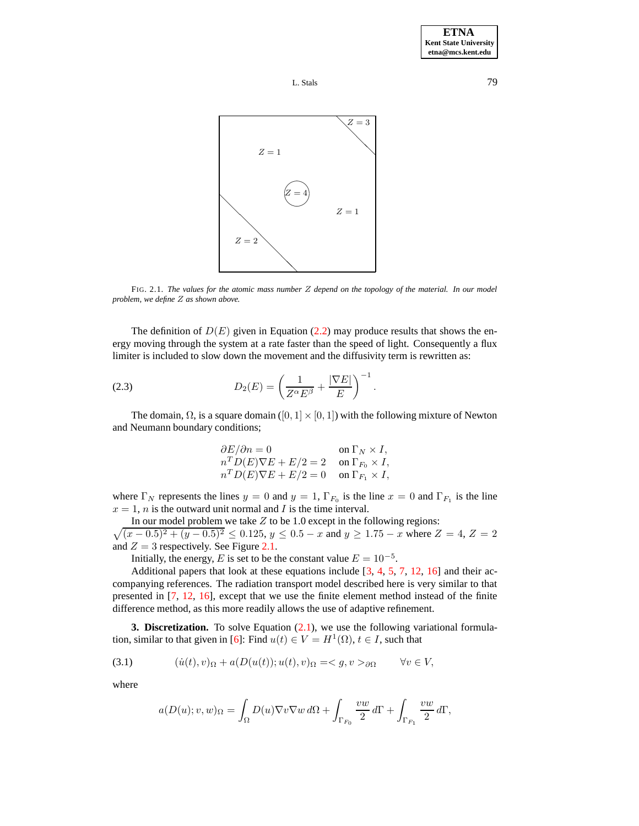



FIG. 2.1. *The values for the atomic mass number* Z *depend on the topology of the material. In our model problem, we define* Z *as shown above.*

The definition of  $D(E)$  given in Equation [\(2.2\)](#page-0-1) may produce results that shows the energy moving through the system at a rate faster than the speed of light. Consequently a flux limiter is included to slow down the movement and the diffusivity term is rewritten as:

<span id="page-1-0"></span>(2.3) 
$$
D_2(E) = \left(\frac{1}{Z^{\alpha}E^{\beta}} + \frac{|\nabla E|}{E}\right)^{-1}.
$$

The domain,  $\Omega$ , is a square domain ([0, 1] × [0, 1]) with the following mixture of Newton and Neumann boundary conditions;

$$
\begin{array}{ll} \partial E/\partial n=0 &\textrm{on }\Gamma_N\times I,\\ n^TD(E)\nabla E+E/2=2 &\textrm{on }\Gamma_{F_0}\times I,\\ n^TD(E)\nabla E+E/2=0 &\textrm{on }\Gamma_{F_1}\times I,\end{array}
$$

where  $\Gamma_N$  represents the lines  $y = 0$  and  $y = 1$ ,  $\Gamma_{F_0}$  is the line  $x = 0$  and  $\Gamma_{F_1}$  is the line  $x = 1$ , *n* is the outward unit normal and *I* is the time interval.

In our model problem we take  $Z$  to be 1.0 except in the following regions:

 $\sqrt{(x-0.5)^2 + (y-0.5)^2} \le 0.125$ ,  $y \le 0.5 - x$  and  $y \ge 1.75 - x$  where  $Z = 4$ ,  $Z = 2$ and  $Z = 3$  respectively. See Figure [2.1.](#page-8-0)

Initially, the energy, E is set to be the constant value  $E = 10^{-5}$ .

Additional papers that look at these equations include  $[3, 4, 5, 7, 12, 16]$  $[3, 4, 5, 7, 12, 16]$  $[3, 4, 5, 7, 12, 16]$  $[3, 4, 5, 7, 12, 16]$  $[3, 4, 5, 7, 12, 16]$  $[3, 4, 5, 7, 12, 16]$  $[3, 4, 5, 7, 12, 16]$  $[3, 4, 5, 7, 12, 16]$  $[3, 4, 5, 7, 12, 16]$  $[3, 4, 5, 7, 12, 16]$  $[3, 4, 5, 7, 12, 16]$  and their accompanying references. The radiation transport model described here is very similar to that presented in [\[7,](#page-15-3) [12,](#page-15-0) [16\]](#page-15-4), except that we use the finite element method instead of the finite difference method, as this more readily allows the use of adaptive refinement.

**3. Discretization.** To solve Equation [\(2.1\)](#page-0-0), we use the following variational formula-tion, similar to that given in [\[6\]](#page-15-5): Find  $u(t) \in V = H^1(\Omega)$ ,  $t \in I$ , such that

(3.1) 
$$
(i(t), v)_{\Omega} + a(D(u(t)); u(t), v)_{\Omega} = \langle g, v \rangle_{\partial \Omega} \qquad \forall v \in V,
$$

where

$$
a(D(u); v, w)_{\Omega} = \int_{\Omega} D(u) \nabla v \nabla w \, d\Omega + \int_{\Gamma_{F_0}} \frac{vw}{2} \, d\Gamma + \int_{\Gamma_{F_1}} \frac{vw}{2} \, d\Gamma,
$$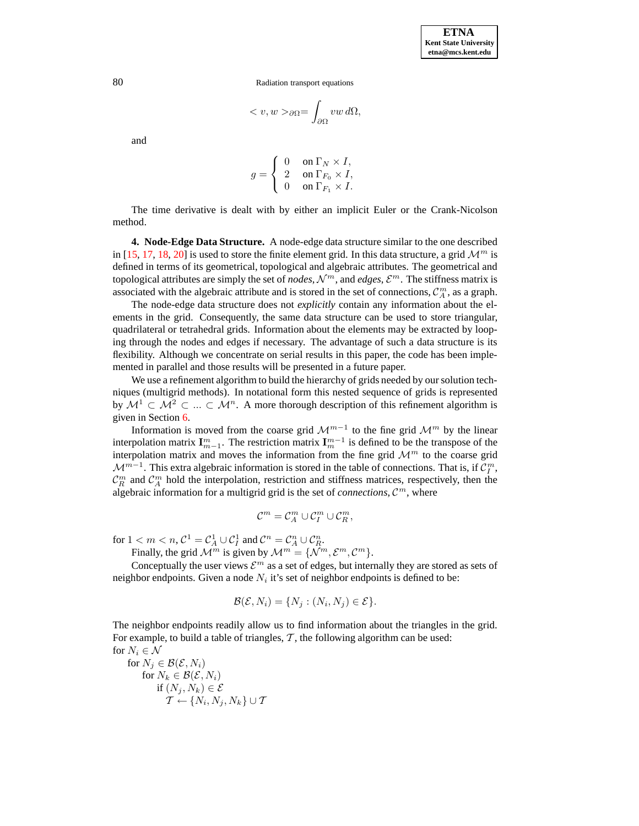$$
_{\partial\Omega}=\int_{\partial\Omega}vw\,d\Omega,
$$

and

$$
g = \left\{ \begin{array}{ll} 0 & \textrm{on } \Gamma_N \times I, \\ 2 & \textrm{on } \Gamma_{F_0} \times I, \\ 0 & \textrm{on } \Gamma_{F_1} \times I. \end{array} \right.
$$

The time derivative is dealt with by either an implicit Euler or the Crank-Nicolson method.

<span id="page-2-0"></span>**4. Node-Edge Data Structure.** A node-edge data structure similar to the one described in [\[15,](#page-15-6) [17,](#page-15-7) [18,](#page-15-8) [20\]](#page-15-9) is used to store the finite element grid. In this data structure, a grid  $\mathcal{M}^m$  is defined in terms of its geometrical, topological and algebraic attributes. The geometrical and topological attributes are simply the set of *nodes*,  $\mathcal{N}^m$ , and *edges*,  $\mathcal{E}^m$ . The stiffness matrix is associated with the algebraic attribute and is stored in the set of connections,  $\mathcal{C}_A^m$ , as a graph.

The node-edge data structure does not *explicitly* contain any information about the elements in the grid. Consequently, the same data structure can be used to store triangular, quadrilateral or tetrahedral grids. Information about the elements may be extracted by looping through the nodes and edges if necessary. The advantage of such a data structure is its flexibility. Although we concentrate on serial results in this paper, the code has been implemented in parallel and those results will be presented in a future paper.

We use a refinement algorithm to build the hierarchy of grids needed by our solution techniques (multigrid methods). In notational form this nested sequence of grids is represented by  $M^1 \subset M^2 \subset \ldots \subset M^n$ . A more thorough description of this refinement algorithm is given in Section [6.](#page-4-0)

Information is moved from the coarse grid  $\mathcal{M}^{m-1}$  to the fine grid  $\mathcal{M}^m$  by the linear interpolation matrix  $\mathbf{I}_{m-1}^m$ . The restriction matrix  $\mathbf{I}_m^{m-1}$  is defined to be the transpose of the interpolation matrix and moves the information from the fine grid  $\mathcal{M}^m$  to the coarse grid  $\mathcal{M}^{m-1}$ . This extra algebraic information is stored in the table of connections. That is, if  $\mathcal{C}_{I}^{m}$ ,  $\mathcal{C}_R^m$  and  $\mathcal{C}_A^m$  hold the interpolation, restriction and stiffness matrices, respectively, then the algebraic information for a multigrid grid is the set of *connections*,  $\mathcal{C}^m$ , where

$$
\mathcal{C}^m=\mathcal{C}_A^m\cup\mathcal{C}_I^m\cup\mathcal{C}_R^m,
$$

for  $1 < m < n$ ,  $C^1 = C_A^1 \cup C_I^1$  and  $C^n = C_A^n \cup C_R^n$ .

Finally, the grid  $\mathcal{M}^m$  is given by  $\mathcal{M}^m = {\mathcal{N}^m, \mathcal{E}^m, \mathcal{C}^m}.$ 

Conceptually the user views  $\mathcal{E}^m$  as a set of edges, but internally they are stored as sets of neighbor endpoints. Given a node  $N_i$  it's set of neighbor endpoints is defined to be:

$$
\mathcal{B}(\mathcal{E}, N_i) = \{N_j : (N_i, N_j) \in \mathcal{E}\}.
$$

The neighbor endpoints readily allow us to find information about the triangles in the grid. For example, to build a table of triangles,  $\mathcal{T}$ , the following algorithm can be used: for  $N_i \in \mathcal{N}$ 

for 
$$
N_j \in \mathcal{B}(\mathcal{E}, N_i)
$$
  
for  $N_k \in \mathcal{B}(\mathcal{E}, N_i)$   
if  $(N_j, N_k) \in \mathcal{E}$   
 $\mathcal{T} \leftarrow \{N_i, N_j, N_k\} \cup \mathcal{T}$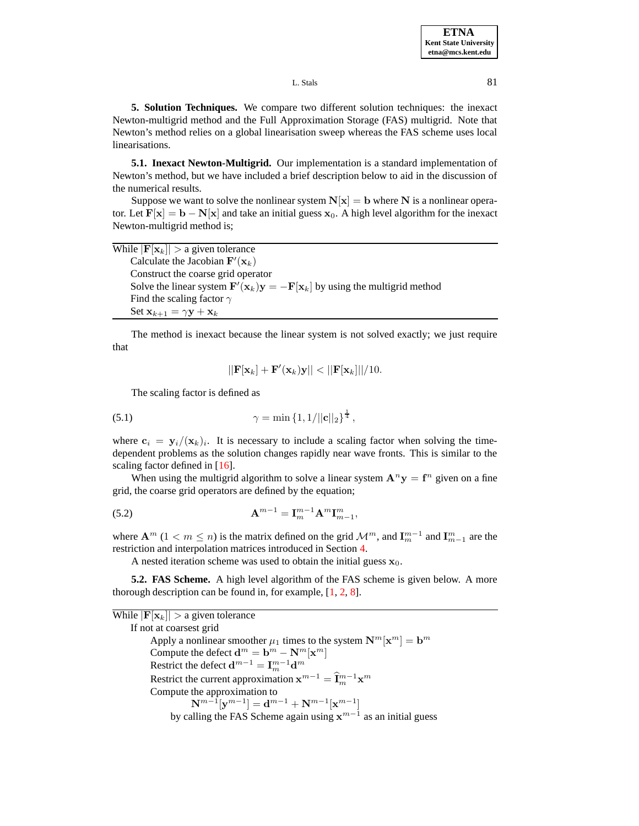L. Stals 81

**5. Solution Techniques.** We compare two different solution techniques: the inexact Newton-multigrid method and the Full Approximation Storage (FAS) multigrid. Note that Newton's method relies on a global linearisation sweep whereas the FAS scheme uses local linearisations.

<span id="page-3-1"></span>**5.1. Inexact Newton-Multigrid.** Our implementation is a standard implementation of Newton's method, but we have included a brief description below to aid in the discussion of the numerical results.

Suppose we want to solve the nonlinear system  $N[x] = b$  where N is a nonlinear operator. Let  $F[x] = b - N[x]$  and take an initial guess  $x_0$ . A high level algorithm for the inexact Newton-multigrid method is;

| While $ \mathbf{F}[\mathbf{x}_k]  > a$ given tolerance                                                                  |
|-------------------------------------------------------------------------------------------------------------------------|
| Calculate the Jacobian $\mathbf{F}'(\mathbf{x}_k)$                                                                      |
| Construct the coarse grid operator                                                                                      |
| Solve the linear system $\mathbf{F}'(\mathbf{x}_k)\mathbf{y} = -\mathbf{F}[\mathbf{x}_k]$ by using the multigrid method |
| Find the scaling factor $\gamma$                                                                                        |
| Set $\mathbf{x}_{k+1} = \gamma \mathbf{y} + \mathbf{x}_k$                                                               |

The method is inexact because the linear system is not solved exactly; we just require that

$$
||\mathbf{F}[\mathbf{x}_k] + \mathbf{F}'(\mathbf{x}_k)\mathbf{y}|| < ||\mathbf{F}[\mathbf{x}_k]||/10.
$$

<span id="page-3-0"></span>The scaling factor is defined as

(5.1) 
$$
\gamma = \min\left\{1, 1/\|\mathbf{c}\|_2\right\}^{\frac{1}{4}},
$$

where  $c_i = y_i/(\mathbf{x}_k)_i$ . It is necessary to include a scaling factor when solving the timedependent problems as the solution changes rapidly near wave fronts. This is similar to the scaling factor defined in [\[16\]](#page-15-4).

When using the multigrid algorithm to solve a linear system  $A^n y = f^n$  given on a fine grid, the coarse grid operators are defined by the equation;

(5.2) 
$$
\mathbf{A}^{m-1} = \mathbf{I}_m^{m-1} \mathbf{A}^m \mathbf{I}_{m-1}^m,
$$

where  $\mathbf{A}^m$  (1 <  $m \le n$ ) is the matrix defined on the grid  $\mathcal{M}^m$ , and  $\mathbf{I}_{m}^{m-1}$  and  $\mathbf{I}_{m-1}^m$  are the restriction and interpolation matrices introduced in Section [4.](#page-2-0)

A nested iteration scheme was used to obtain the initial guess  $x_0$ .

**5.2. FAS Scheme.** A high level algorithm of the FAS scheme is given below. A more thorough description can be found in, for example, [\[1,](#page-14-2) [2,](#page-14-3) [8\]](#page-15-10).

While  $|\mathbf{F}[\mathbf{x}_k]| > a$  given tolerance If not at coarsest grid Apply a nonlinear smoother  $\mu_1$  times to the system  $\mathbf{N}^m[\mathbf{x}^m] = \mathbf{b}^m$ Compute the defect  $\mathbf{d}^m = \mathbf{b}^m - \mathbf{N}^m[\mathbf{x}^m]$ Restrict the defect  $\mathbf{d}^{m-1} = \mathbf{I}_{m}^{m-1} \mathbf{d}^{m}$ Restrict the current approximation  $\mathbf{x}^{m-1} = \hat{\mathbf{I}}_m^{m-1} \mathbf{x}^m$ Compute the approximation to  $\textbf{N}^{m-1}[\textbf{y}^{m-1}]=\textbf{d}^{m-1}+\textbf{N}^{m-1}[\textbf{x}^{m-1}]$ by calling the FAS Scheme again using  $x^{m-1}$  as an initial guess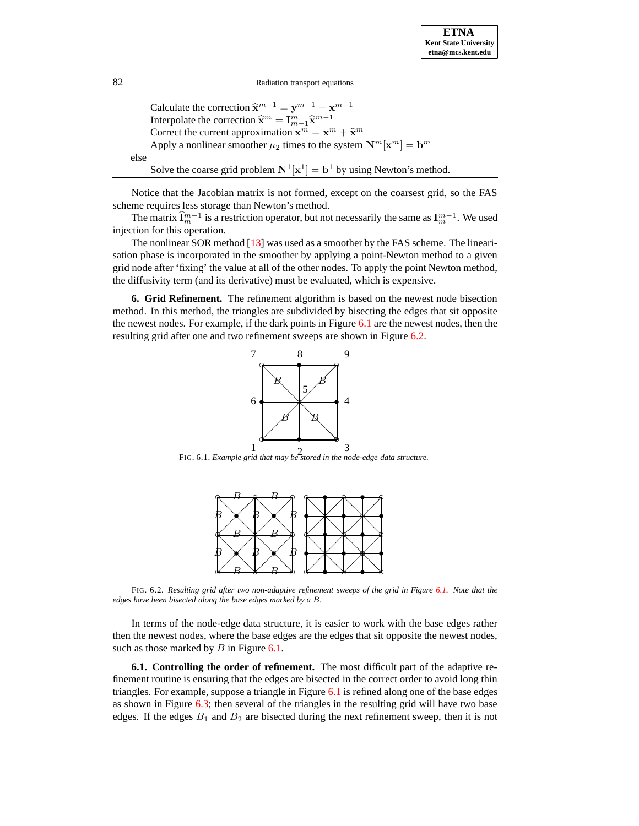Calculate the correction  $\hat{\mathbf{x}}^{m-1} = \mathbf{y}^{m-1} - \mathbf{x}^{m-1}$ Interpolate the correction  $\hat{\mathbf{x}}^m = \mathbf{I}_{m-1}^m \hat{\mathbf{x}}^{m-1}$ Correct the current approximation  $\mathbf{x}^m = \mathbf{x}^m + \hat{\mathbf{x}}^m$ Apply a nonlinear smoother  $\mu_2$  times to the system  $\mathbf{N}^m[\mathbf{x}^m] = \mathbf{b}^m$ else Solve the coarse grid problem  $N^1[x^1] = b^1$  by using Newton's method.

Notice that the Jacobian matrix is not formed, except on the coarsest grid, so the FAS scheme requires less storage than Newton's method.

The matrix  $\widehat{\mathbf{I}}_m^{m-1}$  is a restriction operator, but not necessarily the same as  $\mathbf{I}_m^{m-1}$ . We used injection for this operation.

The nonlinear SOR method [\[13\]](#page-15-11) was used as a smoother by the FAS scheme. The linearisation phase is incorporated in the smoother by applying a point-Newton method to a given grid node after 'fixing' the value at all of the other nodes. To apply the point Newton method, the diffusivity term (and its derivative) must be evaluated, which is expensive.

<span id="page-4-0"></span>**6. Grid Refinement.** The refinement algorithm is based on the newest node bisection method. In this method, the triangles are subdivided by bisecting the edges that sit opposite the newest nodes. For example, if the dark points in Figure [6.1](#page-8-0) are the newest nodes, then the resulting grid after one and two refinement sweeps are shown in Figure [6.2.](#page-8-1)



1 2 FIG. 6.1. *Example grid that may be stored in the node-edge data structure.*



FIG. 6.2. *Resulting grid after two non-adaptive refinement sweeps of the grid in Figure [6.1.](#page-8-0) Note that the edges have been bisected along the base edges marked by a* B*.*

In terms of the node-edge data structure, it is easier to work with the base edges rather then the newest nodes, where the base edges are the edges that sit opposite the newest nodes, such as those marked by  $B$  in Figure [6.1.](#page-8-0)

**6.1. Controlling the order of refinement.** The most difficult part of the adaptive refinement routine is ensuring that the edges are bisected in the correct order to avoid long thin triangles. For example, suppose a triangle in Figure [6.1](#page-8-0) is refined along one of the base edges as shown in Figure [6.3;](#page-12-0) then several of the triangles in the resulting grid will have two base edges. If the edges  $B_1$  and  $B_2$  are bisected during the next refinement sweep, then it is not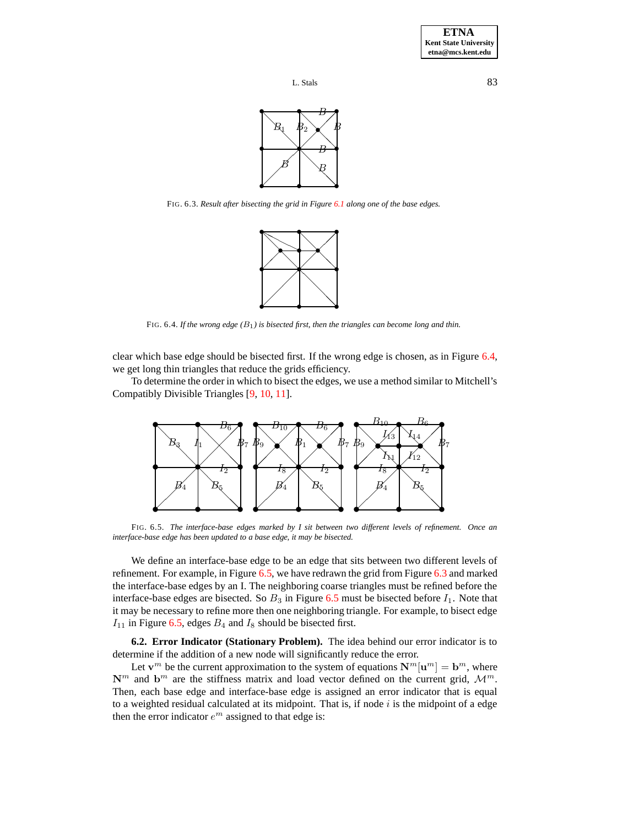



FIG. 6.3. *Result after bisecting the grid in Figure [6.1](#page-8-0) along one of the base edges.*



FIG. 6.4. *If the wrong edge (*B1*) is bisected first, then the triangles can become long and thin.*

clear which base edge should be bisected first. If the wrong edge is chosen, as in Figure [6.4,](#page-12-1) we get long thin triangles that reduce the grids efficiency.

To determine the order in which to bisect the edges, we use a method similar to Mitchell's Compatibly Divisible Triangles [\[9,](#page-15-12) [10,](#page-15-13) [11\]](#page-15-14).



FIG. 6.5. *The interface-base edges marked by I sit between two different levels of refinement. Once an interface-base edge has been updated to a base edge, it may be bisected.*

We define an interface-base edge to be an edge that sits between two different levels of refinement. For example, in Figure [6.5,](#page-13-0) we have redrawn the grid from Figure [6.3](#page-12-0) and marked the interface-base edges by an I. The neighboring coarse triangles must be refined before the interface-base edges are bisected. So  $B_3$  in Figure [6.5](#page-13-0) must be bisected before  $I_1$ . Note that it may be necessary to refine more then one neighboring triangle. For example, to bisect edge  $I_{11}$  in Figure [6.5,](#page-13-0) edges  $B_4$  and  $I_8$  should be bisected first.

**6.2. Error Indicator (Stationary Problem).** The idea behind our error indicator is to determine if the addition of a new node will significantly reduce the error.

Let  $\mathbf{v}^m$  be the current approximation to the system of equations  $\mathbf{N}^m[\mathbf{u}^m] = \mathbf{b}^m$ , where  $\mathbb{N}^m$  and  $\mathbf{b}^m$  are the stiffness matrix and load vector defined on the current grid,  $\mathcal{M}^m$ . Then, each base edge and interface-base edge is assigned an error indicator that is equal to a weighted residual calculated at its midpoint. That is, if node  $i$  is the midpoint of a edge then the error indicator  $e^m$  assigned to that edge is: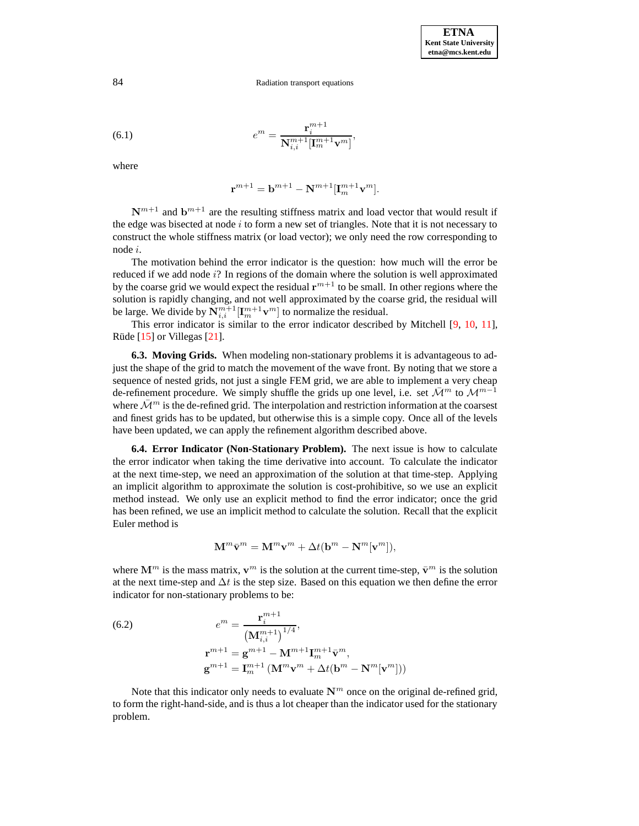(6.1) 
$$
e^{m} = \frac{\mathbf{r}_{i}^{m+1}}{\mathbf{N}_{i,i}^{m+1} [\mathbf{I}_{m}^{m+1} \mathbf{v}^{m}]},
$$

where

$$
\mathbf{r}^{m+1} = \mathbf{b}^{m+1} - \mathbf{N}^{m+1} [\mathbf{I}_m^{m+1} \mathbf{v}^m].
$$

 $N^{m+1}$  and  $b^{m+1}$  are the resulting stiffness matrix and load vector that would result if the edge was bisected at node  $i$  to form a new set of triangles. Note that it is not necessary to construct the whole stiffness matrix (or load vector); we only need the row corresponding to node i.

The motivation behind the error indicator is the question: how much will the error be reduced if we add node i? In regions of the domain where the solution is well approximated by the coarse grid we would expect the residual  $r^{m+1}$  to be small. In other regions where the solution is rapidly changing, and not well approximated by the coarse grid, the residual will be large. We divide by  $\mathbf{N}_{i,i}^{m+1}[\mathbf{I}_{m}^{m+1}\mathbf{v}^m]$  to normalize the residual.

This error indicator is similar to the error indicator described by Mitchell [\[9,](#page-15-12) [10,](#page-15-13) [11\]](#page-15-14), Rüde  $[15]$  or Villegas  $[21]$ .

**6.3. Moving Grids.** When modeling non-stationary problems it is advantageous to adjust the shape of the grid to match the movement of the wave front. By noting that we store a sequence of nested grids, not just a single FEM grid, we are able to implement a very cheap de-refinement procedure. We simply shuffle the grids up one level, i.e. set  $\mathcal{M}^m$  to  $\mathcal{M}^{m-1}$ where  $\mathcal{M}^m$  is the de-refined grid. The interpolation and restriction information at the coarsest and finest grids has to be updated, but otherwise this is a simple copy. Once all of the levels have been updated, we can apply the refinement algorithm described above.

**6.4. Error Indicator (Non-Stationary Problem).** The next issue is how to calculate the error indicator when taking the time derivative into account. To calculate the indicator at the next time-step, we need an approximation of the solution at that time-step. Applying an implicit algorithm to approximate the solution is cost-prohibitive, so we use an explicit method instead. We only use an explicit method to find the error indicator; once the grid has been refined, we use an implicit method to calculate the solution. Recall that the explicit Euler method is

$$
\mathbf{M}^m \bar{\mathbf{v}}^m = \mathbf{M}^m \mathbf{v}^m + \Delta t (\mathbf{b}^m - \mathbf{N}^m [\mathbf{v}^m]),
$$

where  $\mathbf{M}^m$  is the mass matrix,  $\mathbf{v}^m$  is the solution at the current time-step,  $\bar{\mathbf{v}}^m$  is the solution at the next time-step and  $\Delta t$  is the step size. Based on this equation we then define the error indicator for non-stationary problems to be:

(6.2) 
$$
e^{m} = \frac{\mathbf{r}_{i}^{m+1}}{(\mathbf{M}_{i,i}^{m+1})^{1/4}},
$$

$$
\mathbf{r}^{m+1} = \mathbf{g}^{m+1} - \mathbf{M}^{m+1}\mathbf{I}_{m}^{m+1}\bar{\mathbf{v}}^{m},
$$

$$
\mathbf{g}^{m+1} = \mathbf{I}_{m}^{m+1}(\mathbf{M}^{m}\mathbf{v}^{m} + \Delta t(\mathbf{b}^{m} - \mathbf{N}^{m}[\mathbf{v}^{m}]))
$$

Note that this indicator only needs to evaluate  $N^m$  once on the original de-refined grid, to form the right-hand-side, and is thus a lot cheaper than the indicator used for the stationary problem.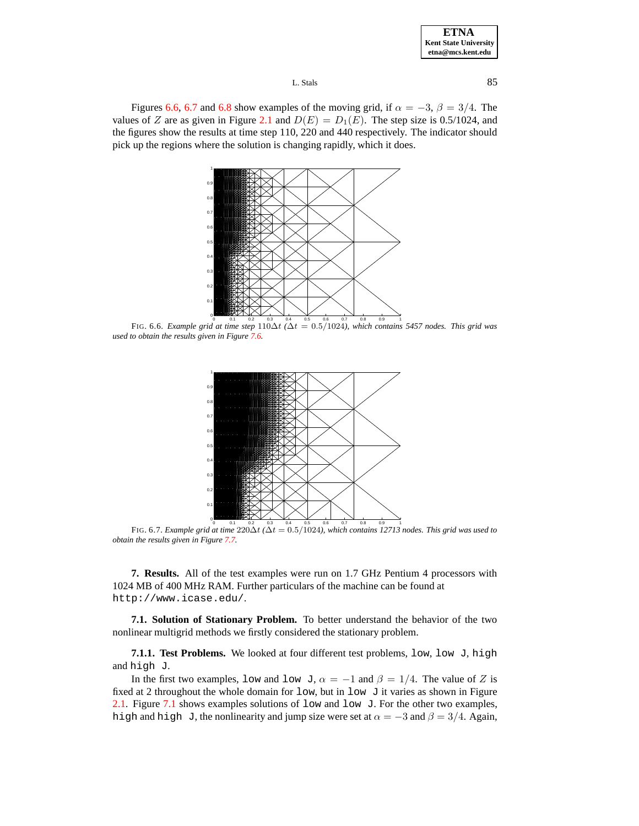#### L. Stals 85

Figures [6.6,](#page-13-1) [6.7](#page-14-4) and [6.8](#page-14-5) show examples of the moving grid, if  $\alpha = -3$ ,  $\beta = 3/4$ . The values of Z are as given in Figure [2.1](#page-8-0) and  $D(E) = D_1(E)$ . The step size is 0.5/1024, and the figures show the results at time step 110, 220 and 440 respectively. The indicator should pick up the regions where the solution is changing rapidly, which it does.



FIG. 6.6. Example grid at time step  $110\Delta t$  ( $\Delta t = 0.5/1024$ ), which contains 5457 nodes. This grid was *used to obtain the results given in Figure [7.6.](#page-13-1)*



FIG. 6.7. Example grid at time  $220\Delta t$  ( $\Delta t = 0.5/1024$ ), which contains 12713 nodes. This grid was used to *obtain the results given in Figure [7.7.](#page-14-4)*

**7. Results.** All of the test examples were run on 1.7 GHz Pentium 4 processors with 1024 MB of 400 MHz RAM. Further particulars of the machine can be found at http://www.icase.edu/.

**7.1. Solution of Stationary Problem.** To better understand the behavior of the two nonlinear multigrid methods we firstly considered the stationary problem.

**7.1.1. Test Problems.** We looked at four different test problems, low, low J, high and high J.

In the first two examples, low and low J,  $\alpha = -1$  and  $\beta = 1/4$ . The value of Z is fixed at 2 throughout the whole domain for  $1ow$ , but in  $1ow \text{ J}$  it varies as shown in Figure [2.1.](#page-8-0) Figure [7.1](#page-8-0) shows examples solutions of low and low J. For the other two examples, high and high J, the nonlinearity and jump size were set at  $\alpha = -3$  and  $\beta = 3/4$ . Again,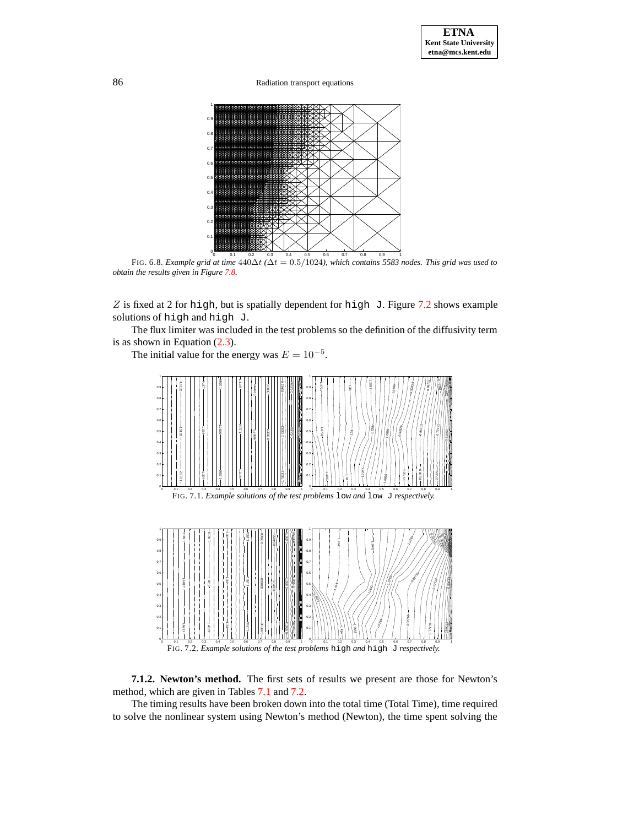86 Radiation transport equations



FIG. 6.8. Example grid at time  $440\Delta t$  ( $\Delta t = 0.5/1024$ ), which contains 5583 nodes. This grid was used to *obtain the results given in Figure [7.8.](#page-14-5)*

Z is fixed at 2 for high, but is spatially dependent for high J. Figure  $7.2$  shows example solutions of high and high J.

The flux limiter was included in the test problems so the definition of the diffusivity term is as shown in Equation [\(2.3\)](#page-1-0).

The initial value for the energy was  $E = 10^{-5}$ .

<span id="page-8-0"></span>

<span id="page-8-2"></span><span id="page-8-1"></span>**7.1.2. Newton's method.** The first sets of results we present are those for Newton's method, which are given in Tables [7.1](#page-9-0) and [7.2.](#page-9-1)

The timing results have been broken down into the total time (Total Time), time required to solve the nonlinear system using Newton's method (Newton), the time spent solving the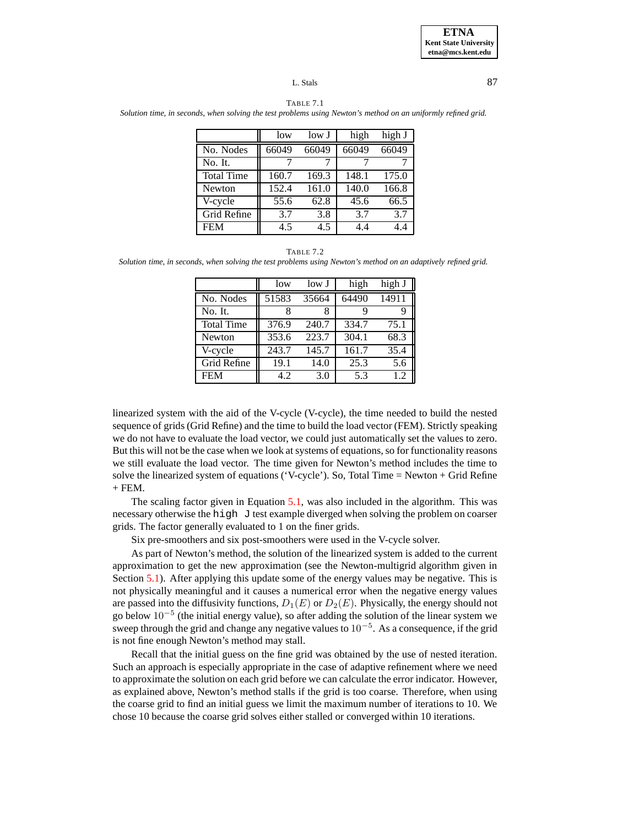#### L. Stals 87

<span id="page-9-0"></span>TABLE 7.1 Solution time, in seconds, when solving the test problems using Newton's method on an uniformly refined grid.

|                   | low   | low <sub>J</sub> | high  | high J |
|-------------------|-------|------------------|-------|--------|
| No. Nodes         | 66049 | 66049            | 66049 | 66049  |
| No. It.           |       |                  |       |        |
| <b>Total Time</b> | 160.7 | 169.3            | 148.1 | 175.0  |
| Newton            | 152.4 | 161.0            | 140.0 | 166.8  |
| V-cycle           | 55.6  | 62.8             | 45.6  | 66.5   |
| Grid Refine       | 3.7   | 3.8              | 3.7   | 3.7    |
| <b>FEM</b>        | 4.5   | 4.5              | 4.4   | 4.4    |

TABLE 7.2

<span id="page-9-1"></span>Solution time, in seconds, when solving the test problems using Newton's method on an adaptively refined grid.

|                   | low   | low J | high  | high J |
|-------------------|-------|-------|-------|--------|
| No. Nodes         | 51583 | 35664 | 64490 | 14911  |
| No. It.           |       |       | 9     |        |
| <b>Total Time</b> | 376.9 | 240.7 | 334.7 | 75.1   |
| Newton            | 353.6 | 223.7 | 304.1 | 68.3   |
| V-cycle           | 243.7 | 145.7 | 161.7 | 35.4   |
| Grid Refine       | 19.1  | 14.0  | 25.3  | 5.6    |
| <b>FEM</b>        | 42    | 3.0   | 5.3   | 12     |

linearized system with the aid of the V-cycle (V-cycle), the time needed to build the nested sequence of grids (Grid Refine) and the time to build the load vector (FEM). Strictly speaking we do not have to evaluate the load vector, we could just automatically set the values to zero. But this will not be the case when we look at systems of equations, so for functionality reasons we still evaluate the load vector. The time given for Newton's method includes the time to solve the linearized system of equations ('V-cycle'). So, Total Time = Newton + Grid Refine  $+$  FEM.

The scaling factor given in Equation [5.1,](#page-3-0) was also included in the algorithm. This was necessary otherwise the high J test example diverged when solving the problem on coarser grids. The factor generally evaluated to 1 on the finer grids.

Six pre-smoothers and six post-smoothers were used in the V-cycle solver.

As part of Newton's method, the solution of the linearized system is added to the current approximation to get the new approximation (see the Newton-multigrid algorithm given in Section [5.1\)](#page-3-1). After applying this update some of the energy values may be negative. This is not physically meaningful and it causes a numerical error when the negative energy values are passed into the diffusivity functions,  $D_1(E)$  or  $D_2(E)$ . Physically, the energy should not go below 10<sup>-5</sup> (the initial energy value), so after adding the solution of the linear system we sweep through the grid and change any negative values to  $10^{-5}$ . As a consequence, if the grid is not fine enough Newton's method may stall.

Recall that the initial guess on the fine grid was obtained by the use of nested iteration. Such an approach is especially appropriate in the case of adaptive refinement where we need to approximate the solution on each grid before we can calculate the error indicator. However, as explained above, Newton's method stalls if the grid is too coarse. Therefore, when using the coarse grid to find an initial guess we limit the maximum number of iterations to 10. We chose 10 because the coarse grid solves either stalled or converged within 10 iterations.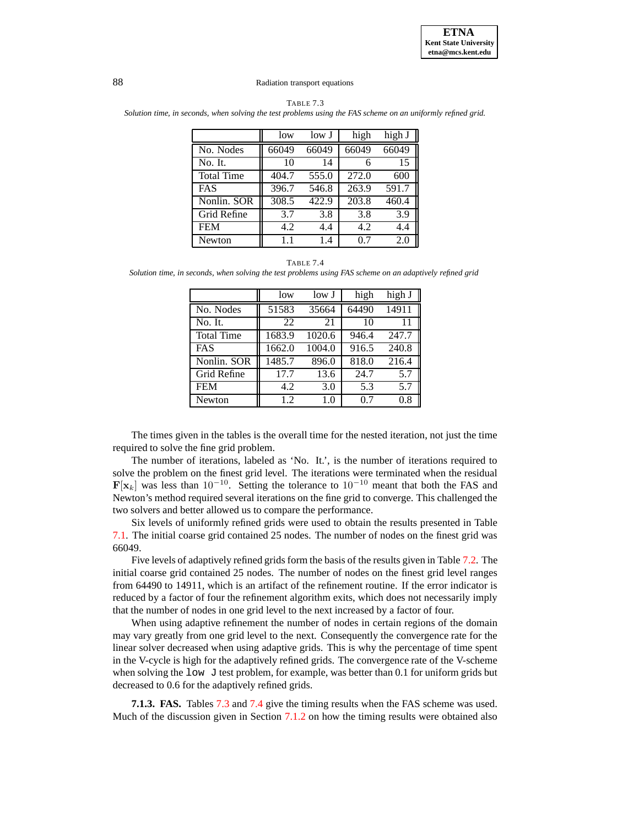|                   | low   | low J | high  | high J |
|-------------------|-------|-------|-------|--------|
| No. Nodes         | 66049 | 66049 | 66049 | 66049  |
| No. It.           | 10    | 14    | 6     | 15     |
| <b>Total Time</b> | 404.7 | 555.0 | 272.0 | 600    |
| <b>FAS</b>        | 396.7 | 546.8 | 263.9 | 591.7  |
| Nonlin. SOR       | 308.5 | 422.9 | 203.8 | 460.4  |
| Grid Refine       | 3.7   | 3.8   | 3.8   | 3.9    |
| <b>FEM</b>        | 4.2   | 4.4   | 4.2   | 4.4    |
| Newton            | 11    | 1.4   | 0.7   | 2.0    |

<span id="page-10-0"></span>TABLE 7.3 Solution time, in seconds, when solving the test problems using the FAS scheme on an uniformly refined grid.

<span id="page-10-1"></span>TABLE 7.4 *Solution time, in seconds, when solving the test problems using FAS scheme on an adaptively refined grid*

|                   | low    | low J  | high  | high J |
|-------------------|--------|--------|-------|--------|
| No. Nodes         | 51583  | 35664  | 64490 | 14911  |
| No. It.           | 22     | 21     | 10    | 11     |
| <b>Total Time</b> | 1683.9 | 1020.6 | 946.4 | 247.7  |
| <b>FAS</b>        | 1662.0 | 1004.0 | 916.5 | 240.8  |
| Nonlin. SOR       | 1485.7 | 896.0  | 818.0 | 216.4  |
| Grid Refine       | 17.7   | 13.6   | 24.7  | 5.7    |
| <b>FEM</b>        | 4.2    | 3.0    | 5.3   | 5.7    |
| Newton            | 1.2    | 1.0    | 0.7   | 0.8    |

The times given in the tables is the overall time for the nested iteration, not just the time required to solve the fine grid problem.

The number of iterations, labeled as 'No. It.', is the number of iterations required to solve the problem on the finest grid level. The iterations were terminated when the residual  $\mathbf{F}[\mathbf{x}_k]$  was less than 10<sup>-10</sup>. Setting the tolerance to 10<sup>-10</sup> meant that both the FAS and Newton's method required several iterations on the fine grid to converge. This challenged the two solvers and better allowed us to compare the performance.

Six levels of uniformly refined grids were used to obtain the results presented in Table [7.1.](#page-9-0) The initial coarse grid contained 25 nodes. The number of nodes on the finest grid was 66049.

Five levels of adaptively refined grids form the basis of the results given in Table [7.2.](#page-9-1) The initial coarse grid contained 25 nodes. The number of nodes on the finest grid level ranges from 64490 to 14911, which is an artifact of the refinement routine. If the error indicator is reduced by a factor of four the refinement algorithm exits, which does not necessarily imply that the number of nodes in one grid level to the next increased by a factor of four.

When using adaptive refinement the number of nodes in certain regions of the domain may vary greatly from one grid level to the next. Consequently the convergence rate for the linear solver decreased when using adaptive grids. This is why the percentage of time spent in the V-cycle is high for the adaptively refined grids. The convergence rate of the V-scheme when solving the  $1 \text{ow}$  J test problem, for example, was better than 0.1 for uniform grids but decreased to 0.6 for the adaptively refined grids.

**7.1.3. FAS.** Tables [7.3](#page-10-0) and [7.4](#page-10-1) give the timing results when the FAS scheme was used. Much of the discussion given in Section [7.1.2](#page-8-2) on how the timing results were obtained also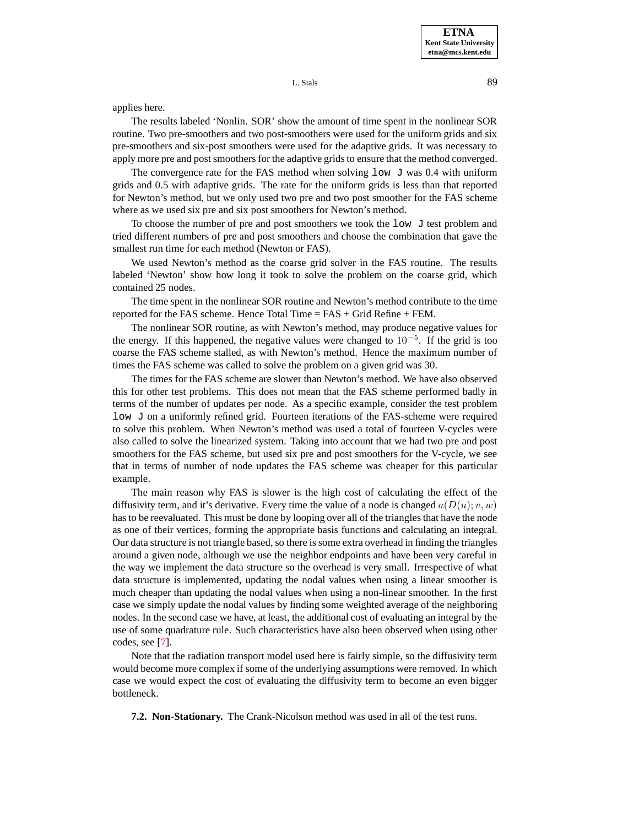**ETNA Kent State University etna@mcs.kent.edu**

L. Stals 89

applies here.

The results labeled 'Nonlin. SOR' show the amount of time spent in the nonlinear SOR routine. Two pre-smoothers and two post-smoothers were used for the uniform grids and six pre-smoothers and six-post smoothers were used for the adaptive grids. It was necessary to apply more pre and post smoothers for the adaptive grids to ensure that the method converged.

The convergence rate for the FAS method when solving  $1 \circ w \cdot J$  was 0.4 with uniform grids and 0.5 with adaptive grids. The rate for the uniform grids is less than that reported for Newton's method, but we only used two pre and two post smoother for the FAS scheme where as we used six pre and six post smoothers for Newton's method.

To choose the number of pre and post smoothers we took the  $l$ ow  $J$  test problem and tried different numbers of pre and post smoothers and choose the combination that gave the smallest run time for each method (Newton or FAS).

We used Newton's method as the coarse grid solver in the FAS routine. The results labeled 'Newton' show how long it took to solve the problem on the coarse grid, which contained 25 nodes.

The time spent in the nonlinear SOR routine and Newton's method contribute to the time reported for the FAS scheme. Hence Total Time = FAS + Grid Refine + FEM.

The nonlinear SOR routine, as with Newton's method, may produce negative values for the energy. If this happened, the negative values were changed to  $10^{-5}$ . If the grid is too coarse the FAS scheme stalled, as with Newton's method. Hence the maximum number of times the FAS scheme was called to solve the problem on a given grid was 30.

The times for the FAS scheme are slower than Newton's method. We have also observed this for other test problems. This does not mean that the FAS scheme performed badly in terms of the number of updates per node. As a specific example, consider the test problem low J on a uniformly refined grid. Fourteen iterations of the FAS-scheme were required to solve this problem. When Newton's method was used a total of fourteen V-cycles were also called to solve the linearized system. Taking into account that we had two pre and post smoothers for the FAS scheme, but used six pre and post smoothers for the V-cycle, we see that in terms of number of node updates the FAS scheme was cheaper for this particular example.

The main reason why FAS is slower is the high cost of calculating the effect of the diffusivity term, and it's derivative. Every time the value of a node is changed  $a(D(u); v, w)$ has to be reevaluated. This must be done by looping over all of the triangles that have the node as one of their vertices, forming the appropriate basis functions and calculating an integral. Our data structure is not triangle based, so there is some extra overhead in finding the triangles around a given node, although we use the neighbor endpoints and have been very careful in the way we implement the data structure so the overhead is very small. Irrespective of what data structure is implemented, updating the nodal values when using a linear smoother is much cheaper than updating the nodal values when using a non-linear smoother. In the first case we simply update the nodal values by finding some weighted average of the neighboring nodes. In the second case we have, at least, the additional cost of evaluating an integral by the use of some quadrature rule. Such characteristics have also been observed when using other codes, see [\[7\]](#page-15-3).

Note that the radiation transport model used here is fairly simple, so the diffusivity term would become more complex if some of the underlying assumptions were removed. In which case we would expect the cost of evaluating the diffusivity term to become an even bigger bottleneck.

**7.2. Non-Stationary.** The Crank-Nicolson method was used in all of the test runs.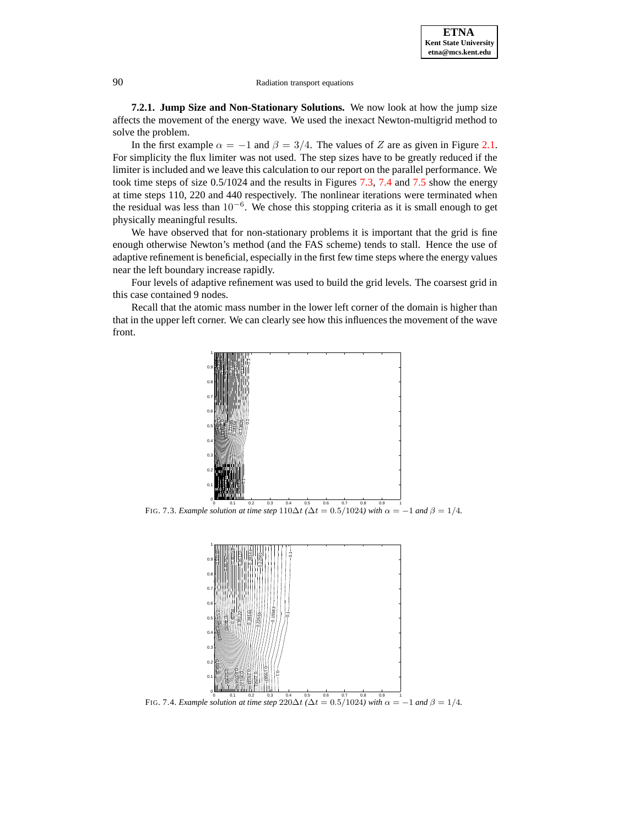**7.2.1. Jump Size and Non-Stationary Solutions.** We now look at how the jump size affects the movement of the energy wave. We used the inexact Newton-multigrid method to solve the problem.

In the first example  $\alpha = -1$  and  $\beta = 3/4$ . The values of Z are as given in Figure [2.1.](#page-8-0) For simplicity the flux limiter was not used. The step sizes have to be greatly reduced if the limiter is included and we leave this calculation to our report on the parallel performance. We took time steps of size 0.5/1024 and the results in Figures [7.3,](#page-12-0) [7.4](#page-12-1) and [7.5](#page-13-0) show the energy at time steps 110, 220 and 440 respectively. The nonlinear iterations were terminated when the residual was less than  $10^{-6}$ . We chose this stopping criteria as it is small enough to get physically meaningful results.

We have observed that for non-stationary problems it is important that the grid is fine enough otherwise Newton's method (and the FAS scheme) tends to stall. Hence the use of adaptive refinement is beneficial, especially in the first few time steps where the energy values near the left boundary increase rapidly.

Four levels of adaptive refinement was used to build the grid levels. The coarsest grid in this case contained 9 nodes.

Recall that the atomic mass number in the lower left corner of the domain is higher than that in the upper left corner. We can clearly see how this influences the movement of the wave front.

<span id="page-12-0"></span>

<span id="page-12-1"></span>0 0.1 0.2 0.3 0.4 0.5 0.6 0.7 0.8 0.9 1 FIG. 7.4. *Example solution at time step*  $220\Delta t$  *(* $\Delta t = 0.5/1024$ *)* with  $\alpha = -1$  *and*  $\beta = 1/4$ *.*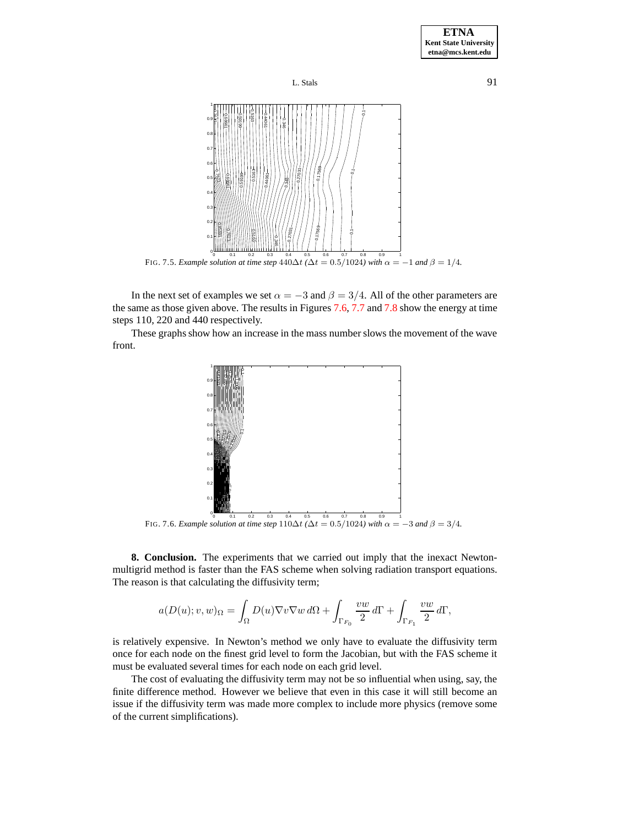



<span id="page-13-0"></span>In the next set of examples we set  $\alpha = -3$  and  $\beta = 3/4$ . All of the other parameters are the same as those given above. The results in Figures [7.6,](#page-13-1) [7.7](#page-14-4) and [7.8](#page-14-5) show the energy at time steps 110, 220 and 440 respectively.

These graphs show how an increase in the mass number slows the movement of the wave front.



FIG. 7.6. *Example solution at time step*  $110\Delta t$  *(* $\Delta t = 0.5/1024$ *)* with  $\alpha = -3$  and  $\beta = 3/4$ .

<span id="page-13-1"></span>**8. Conclusion.** The experiments that we carried out imply that the inexact Newtonmultigrid method is faster than the FAS scheme when solving radiation transport equations. The reason is that calculating the diffusivity term;

$$
a(D(u); v, w)_{\Omega} = \int_{\Omega} D(u) \nabla v \nabla w \, d\Omega + \int_{\Gamma_{F_0}} \frac{v w}{2} \, d\Gamma + \int_{\Gamma_{F_1}} \frac{v w}{2} \, d\Gamma,
$$

is relatively expensive. In Newton's method we only have to evaluate the diffusivity term once for each node on the finest grid level to form the Jacobian, but with the FAS scheme it must be evaluated several times for each node on each grid level.

The cost of evaluating the diffusivity term may not be so influential when using, say, the finite difference method. However we believe that even in this case it will still become an issue if the diffusivity term was made more complex to include more physics (remove some of the current simplifications).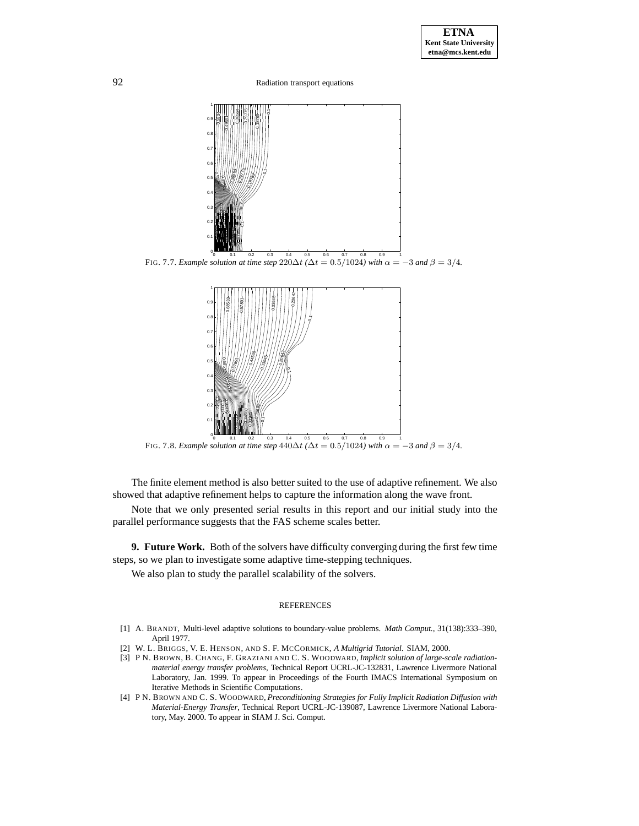<span id="page-14-4"></span>

FIG. 7.8. *Example solution at time step*  $440\Delta t$  ( $\Delta t = 0.5/1024$ *)* with  $\alpha = -3$  *and*  $\beta = 3/4$ *.* 

<span id="page-14-5"></span>The finite element method is also better suited to the use of adaptive refinement. We also showed that adaptive refinement helps to capture the information along the wave front.

Note that we only presented serial results in this report and our initial study into the parallel performance suggests that the FAS scheme scales better.

**9. Future Work.** Both of the solvers have difficulty converging during the first few time steps, so we plan to investigate some adaptive time-stepping techniques.

We also plan to study the parallel scalability of the solvers.

#### **REFERENCES**

- <span id="page-14-2"></span>[1] A. BRANDT, Multi-level adaptive solutions to boundary-value problems. *Math Comput.*, 31(138):333–390, April 1977.
- <span id="page-14-3"></span>[2] W. L. BRIGGS, V. E. HENSON, AND S. F. MCCORMICK, *A Multigrid Tutorial*. SIAM, 2000.
- <span id="page-14-1"></span>[3] P N. BROWN, B. CHANG, F. GRAZIANI AND C. S. WOODWARD, *Implicit solution of large-scale radiationmaterial energy transfer problems*, Technical Report UCRL-JC-132831, Lawrence Livermore National Laboratory, Jan. 1999. To appear in Proceedings of the Fourth IMACS International Symposium on Iterative Methods in Scientific Computations.
- <span id="page-14-0"></span>[4] P N. BROWN AND C. S. WOODWARD, *Preconditioning Strategies for Fully Implicit Radiation Diffusion with Material-Energy Transfer*, Technical Report UCRL-JC-139087, Lawrence Livermore National Laboratory, May. 2000. To appear in SIAM J. Sci. Comput.